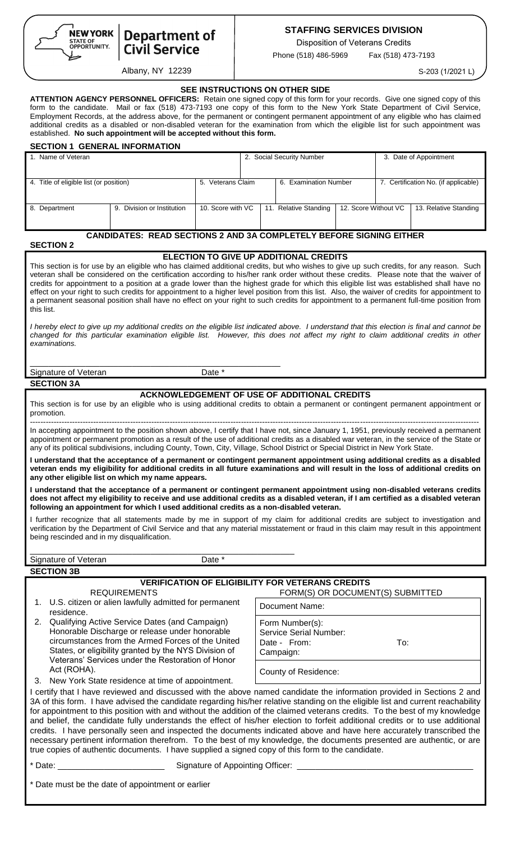

# **Department of<br>Civil Service**

## Albany, NY 12239

# **STAFFING SERVICES DIVISION**

Disposition of Veterans Credits

Phone (518) 486-5969 Fax (518) 473-7193

S-203 (1/2021 L)

|  | <b>SEE INSTRUCTIONS ON OTHER SIDE</b> |  |
|--|---------------------------------------|--|
|--|---------------------------------------|--|

**ATTENTION AGENCY PERSONNEL OFFICERS:** Retain one signed copy of this form for your records. Give one signed copy of this form to the candidate. Mail or fax (518) 473-7193 one copy of this form to the New York State Department of Civil Service, Employment Records, at the address above, for the permanent or contingent permanent appointment of any eligible who has claimed additional credits as a disabled or non-disabled veteran for the examination from which the eligible list for such appointment was established. **No such appointment will be accepted without this form.** 

| <b>SECTION 1 GENERAL INFORMATION</b>                                                                                                                                                                                                                                                                                                                                                                                                                                                                                                                                                                                                                                                                                                                                               |                   |                           |                       |                                                         |                      |                                      |                       |
|------------------------------------------------------------------------------------------------------------------------------------------------------------------------------------------------------------------------------------------------------------------------------------------------------------------------------------------------------------------------------------------------------------------------------------------------------------------------------------------------------------------------------------------------------------------------------------------------------------------------------------------------------------------------------------------------------------------------------------------------------------------------------------|-------------------|---------------------------|-----------------------|---------------------------------------------------------|----------------------|--------------------------------------|-----------------------|
| 1. Name of Veteran                                                                                                                                                                                                                                                                                                                                                                                                                                                                                                                                                                                                                                                                                                                                                                 |                   | 2. Social Security Number |                       |                                                         |                      | 3. Date of Appointment               |                       |
| 4. Title of eligible list (or position)                                                                                                                                                                                                                                                                                                                                                                                                                                                                                                                                                                                                                                                                                                                                            | 5. Veterans Claim |                           | 6. Examination Number |                                                         |                      | 7. Certification No. (if applicable) |                       |
| 9. Division or Institution<br>8. Department                                                                                                                                                                                                                                                                                                                                                                                                                                                                                                                                                                                                                                                                                                                                        | 10. Score with VC |                           |                       | 11. Relative Standing                                   | 12. Score Without VC |                                      | 13. Relative Standing |
| <b>CANDIDATES: READ SECTIONS 2 AND 3A COMPLETELY BEFORE SIGNING EITHER</b>                                                                                                                                                                                                                                                                                                                                                                                                                                                                                                                                                                                                                                                                                                         |                   |                           |                       |                                                         |                      |                                      |                       |
| <b>SECTION 2</b>                                                                                                                                                                                                                                                                                                                                                                                                                                                                                                                                                                                                                                                                                                                                                                   |                   |                           |                       |                                                         |                      |                                      |                       |
| ELECTION TO GIVE UP ADDITIONAL CREDITS<br>This section is for use by an eligible who has claimed additional credits, but who wishes to give up such credits, for any reason. Such<br>veteran shall be considered on the certification according to his/her rank order without these credits. Please note that the waiver of<br>credits for appointment to a position at a grade lower than the highest grade for which this eligible list was established shall have no<br>effect on your right to such credits for appointment to a higher level position from this list. Also, the waiver of credits for appointment to<br>a permanent seasonal position shall have no effect on your right to such credits for appointment to a permanent full-time position from<br>this list. |                   |                           |                       |                                                         |                      |                                      |                       |
| I hereby elect to give up my additional credits on the eligible list indicated above. I understand that this election is final and cannot be<br>changed for this particular examination eligible list. However, this does not affect my right to claim additional credits in other<br>examinations.                                                                                                                                                                                                                                                                                                                                                                                                                                                                                |                   |                           |                       |                                                         |                      |                                      |                       |
| Signature of Veteran                                                                                                                                                                                                                                                                                                                                                                                                                                                                                                                                                                                                                                                                                                                                                               | Date *            |                           |                       |                                                         |                      |                                      |                       |
| <b>SECTION 3A</b>                                                                                                                                                                                                                                                                                                                                                                                                                                                                                                                                                                                                                                                                                                                                                                  |                   |                           |                       |                                                         |                      |                                      |                       |
| This section is for use by an eligible who is using additional credits to obtain a permanent or contingent permanent appointment or                                                                                                                                                                                                                                                                                                                                                                                                                                                                                                                                                                                                                                                |                   |                           |                       | ACKNOWLEDGEMENT OF USE OF ADDITIONAL CREDITS            |                      |                                      |                       |
| promotion.                                                                                                                                                                                                                                                                                                                                                                                                                                                                                                                                                                                                                                                                                                                                                                         |                   |                           |                       |                                                         |                      |                                      |                       |
| In accepting appointment to the position shown above, I certify that I have not, since January 1, 1951, previously received a permanent<br>appointment or permanent promotion as a result of the use of additional credits as a disabled war veteran, in the service of the State or<br>any of its political subdivisions, including County, Town, City, Village, School District or Special District in New York State.                                                                                                                                                                                                                                                                                                                                                           |                   |                           |                       |                                                         |                      |                                      |                       |
| I understand that the acceptance of a permanent or contingent permanent appointment using additional credits as a disabled<br>veteran ends my eligibility for additional credits in all future examinations and will result in the loss of additional credits on<br>any other eligible list on which my name appears.                                                                                                                                                                                                                                                                                                                                                                                                                                                              |                   |                           |                       |                                                         |                      |                                      |                       |
| I understand that the acceptance of a permanent or contingent permanent appointment using non-disabled veterans credits<br>does not affect my eligibility to receive and use additional credits as a disabled veteran, if I am certified as a disabled veteran<br>following an appointment for which I used additional credits as a non-disabled veteran.                                                                                                                                                                                                                                                                                                                                                                                                                          |                   |                           |                       |                                                         |                      |                                      |                       |
| I further recognize that all statements made by me in support of my claim for additional credits are subject to investigation and<br>verification by the Department of Civil Service and that any material misstatement or fraud in this claim may result in this appointment<br>being rescinded and in my disqualification.                                                                                                                                                                                                                                                                                                                                                                                                                                                       |                   |                           |                       |                                                         |                      |                                      |                       |
| Signature of Veteran                                                                                                                                                                                                                                                                                                                                                                                                                                                                                                                                                                                                                                                                                                                                                               | Date *            |                           |                       |                                                         |                      |                                      |                       |
| <b>SECTION 3B</b>                                                                                                                                                                                                                                                                                                                                                                                                                                                                                                                                                                                                                                                                                                                                                                  |                   |                           |                       |                                                         |                      |                                      |                       |
|                                                                                                                                                                                                                                                                                                                                                                                                                                                                                                                                                                                                                                                                                                                                                                                    |                   |                           |                       | <b>VERIFICATION OF ELIGIBILITY FOR VETERANS CREDITS</b> |                      |                                      |                       |
| <b>REQUIREMENTS</b>                                                                                                                                                                                                                                                                                                                                                                                                                                                                                                                                                                                                                                                                                                                                                                |                   |                           |                       | FORM(S) OR DOCUMENT(S) SUBMITTED                        |                      |                                      |                       |
| 1. U.S. citizen or alien lawfully admitted for permanent<br>residence.                                                                                                                                                                                                                                                                                                                                                                                                                                                                                                                                                                                                                                                                                                             |                   |                           |                       | Document Name:                                          |                      |                                      |                       |
| Qualifying Active Service Dates (and Campaign)<br>2.                                                                                                                                                                                                                                                                                                                                                                                                                                                                                                                                                                                                                                                                                                                               |                   |                           |                       | Form Number(s):                                         |                      |                                      |                       |
| Honorable Discharge or release under honorable                                                                                                                                                                                                                                                                                                                                                                                                                                                                                                                                                                                                                                                                                                                                     |                   |                           |                       | Service Serial Number:                                  |                      |                                      |                       |
| circumstances from the Armed Forces of the United<br>States, or eligibility granted by the NYS Division of                                                                                                                                                                                                                                                                                                                                                                                                                                                                                                                                                                                                                                                                         |                   |                           |                       | Date - From:<br>Campaign:                               |                      | To:                                  |                       |
| Veterans' Services under the Restoration of Honor                                                                                                                                                                                                                                                                                                                                                                                                                                                                                                                                                                                                                                                                                                                                  |                   |                           |                       |                                                         |                      |                                      |                       |
| Act (ROHA).                                                                                                                                                                                                                                                                                                                                                                                                                                                                                                                                                                                                                                                                                                                                                                        |                   |                           |                       | County of Residence:                                    |                      |                                      |                       |
| 3. New York State residence at time of appointment.<br>I certify that I have reviewed and discussed with the above named candidate the information provided in Sections 2 and                                                                                                                                                                                                                                                                                                                                                                                                                                                                                                                                                                                                      |                   |                           |                       |                                                         |                      |                                      |                       |
| 3A of this form. I have advised the candidate regarding his/her relative standing on the eligible list and current reachability<br>for appointment to this position with and without the addition of the claimed veterans credits. To the best of my knowledge<br>and belief, the candidate fully understands the effect of his/her election to forfeit additional credits or to use additional<br>credits. I have personally seen and inspected the documents indicated above and have here accurately transcribed the<br>necessary pertinent information therefrom. To the best of my knowledge, the documents presented are authentic, or are<br>true copies of authentic documents. I have supplied a signed copy of this form to the candidate.                               |                   |                           |                       |                                                         |                      |                                      |                       |
| * Date: the contract of the contract of the contract of the contract of the contract of the contract of the contract of the contract of the contract of the contract of the contract of the contract of the contract of the co                                                                                                                                                                                                                                                                                                                                                                                                                                                                                                                                                     |                   |                           |                       |                                                         |                      |                                      |                       |
| * Date must be the date of appointment or earlier                                                                                                                                                                                                                                                                                                                                                                                                                                                                                                                                                                                                                                                                                                                                  |                   |                           |                       |                                                         |                      |                                      |                       |